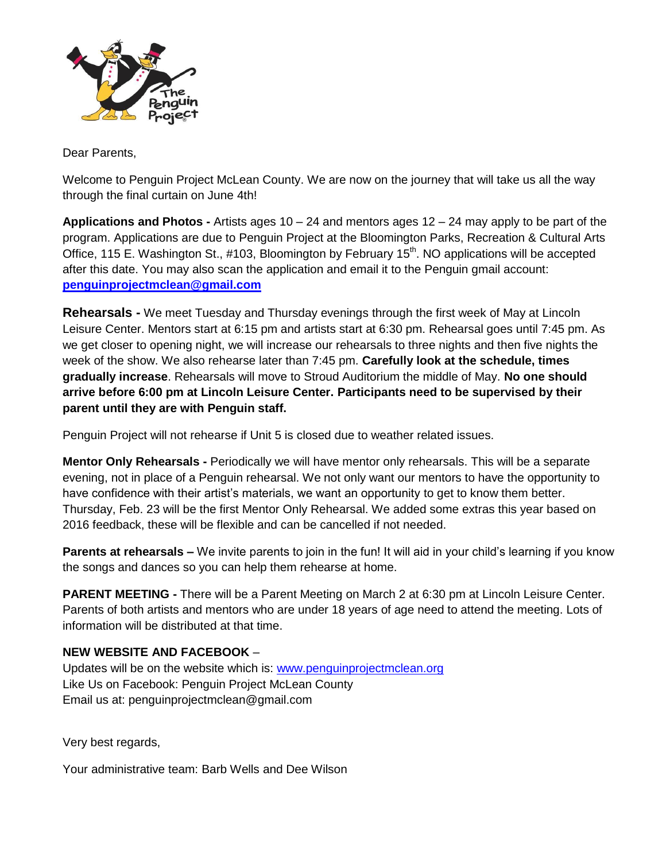

Dear Parents,

Welcome to Penguin Project McLean County. We are now on the journey that will take us all the way through the final curtain on June 4th!

**Applications and Photos -** Artists ages 10 – 24 and mentors ages 12 – 24 may apply to be part of the program. Applications are due to Penguin Project at the Bloomington Parks, Recreation & Cultural Arts Office, 115 E. Washington St., #103, Bloomington by February 15<sup>th</sup>. NO applications will be accepted after this date. You may also scan the application and email it to the Penguin gmail account: **[penguinprojectmclean@gmail.com](mailto:penguinprojectmclean@gmail.com)**

**Rehearsals -** We meet Tuesday and Thursday evenings through the first week of May at Lincoln Leisure Center. Mentors start at 6:15 pm and artists start at 6:30 pm. Rehearsal goes until 7:45 pm. As we get closer to opening night, we will increase our rehearsals to three nights and then five nights the week of the show. We also rehearse later than 7:45 pm. **Carefully look at the schedule, times gradually increase**. Rehearsals will move to Stroud Auditorium the middle of May. **No one should arrive before 6:00 pm at Lincoln Leisure Center. Participants need to be supervised by their parent until they are with Penguin staff.**

Penguin Project will not rehearse if Unit 5 is closed due to weather related issues.

**Mentor Only Rehearsals -** Periodically we will have mentor only rehearsals. This will be a separate evening, not in place of a Penguin rehearsal. We not only want our mentors to have the opportunity to have confidence with their artist's materials, we want an opportunity to get to know them better. Thursday, Feb. 23 will be the first Mentor Only Rehearsal. We added some extras this year based on 2016 feedback, these will be flexible and can be cancelled if not needed.

**Parents at rehearsals –** We invite parents to join in the fun! It will aid in your child's learning if you know the songs and dances so you can help them rehearse at home.

**PARENT MEETING -** There will be a Parent Meeting on March 2 at 6:30 pm at Lincoln Leisure Center. Parents of both artists and mentors who are under 18 years of age need to attend the meeting. Lots of information will be distributed at that time.

### **NEW WEBSITE AND FACEBOOK** –

Updates will be on the website which is: [www.penguinprojectmclean.org](http://www.penguinprojectmclean.org/) Like Us on Facebook: Penguin Project McLean County Email us at: penguinprojectmclean@gmail.com

Very best regards,

Your administrative team: Barb Wells and Dee Wilson